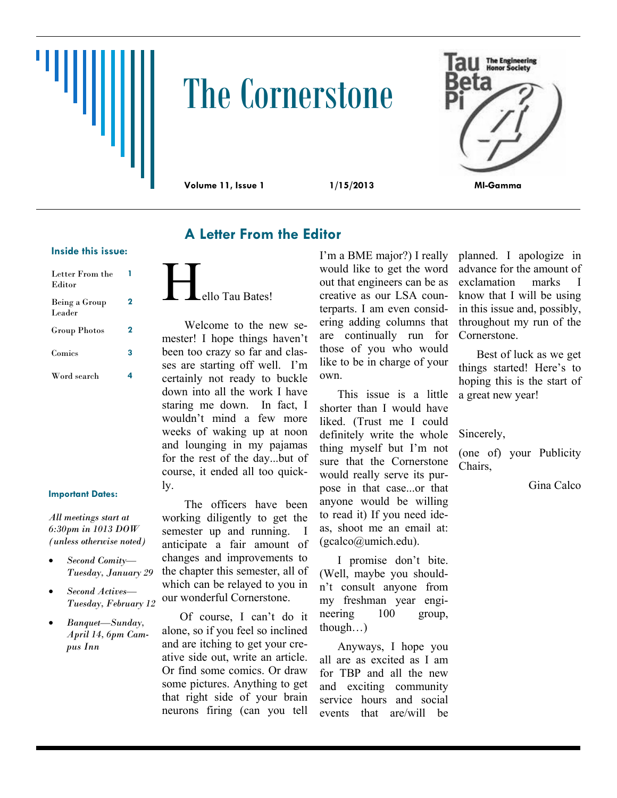

# The Cornerstone



# **A Letter From the Editor**

#### **Inside this issue:**

| Letter From the<br>Editor |   |
|---------------------------|---|
| Being a Group<br>Leader   | 2 |
| Group Photos              | 2 |
| Comics                    | 3 |
| Word search               |   |

#### **Important Dates:**

*All meetings start at 6:30pm in 1013 DOW (unless otherwise noted)*

- *Second Comity— Tuesday, January 29*
- *Second Actives— Tuesday, February 12*
- *Banquet—Sunday, April 14, 6pm Campus Inn*

ello Tau Bates!

Welcome to the new semester! I hope things haven't been too crazy so far and classes are starting off well. I'm certainly not ready to buckle down into all the work I have staring me down. In fact, I wouldn't mind a few more weeks of waking up at noon and lounging in my pajamas for the rest of the day...but of course, it ended all too quickly.

The officers have been working diligently to get the semester up and running. I anticipate a fair amount of changes and improvements to the chapter this semester, all of which can be relayed to you in our wonderful Cornerstone.

Of course, I can't do it alone, so if you feel so inclined and are itching to get your creative side out, write an article. Or find some comics. Or draw some pictures. Anything to get that right side of your brain neurons firing (can you tell

I'm a BME major?) I really would like to get the word out that engineers can be as creative as our LSA counterparts. I am even considering adding columns that are continually run for those of you who would like to be in charge of your own.

This issue is a little shorter than I would have liked. (Trust me I could definitely write the whole thing myself but I'm not sure that the Cornerstone would really serve its purpose in that case...or that anyone would be willing to read it) If you need ideas, shoot me an email at: (gcalco@umich.edu).

I promise don't bite. (Well, maybe you shouldn't consult anyone from my freshman year engineering 100 group, though…)

Anyways, I hope you all are as excited as I am for TBP and all the new and exciting community service hours and social events that are/will be planned. I apologize in advance for the amount of exclamation marks I know that I will be using in this issue and, possibly, throughout my run of the Cornerstone.

Best of luck as we get things started! Here's to hoping this is the start of a great new year!

Sincerely,

(one of) your Publicity Chairs,

Gina Calco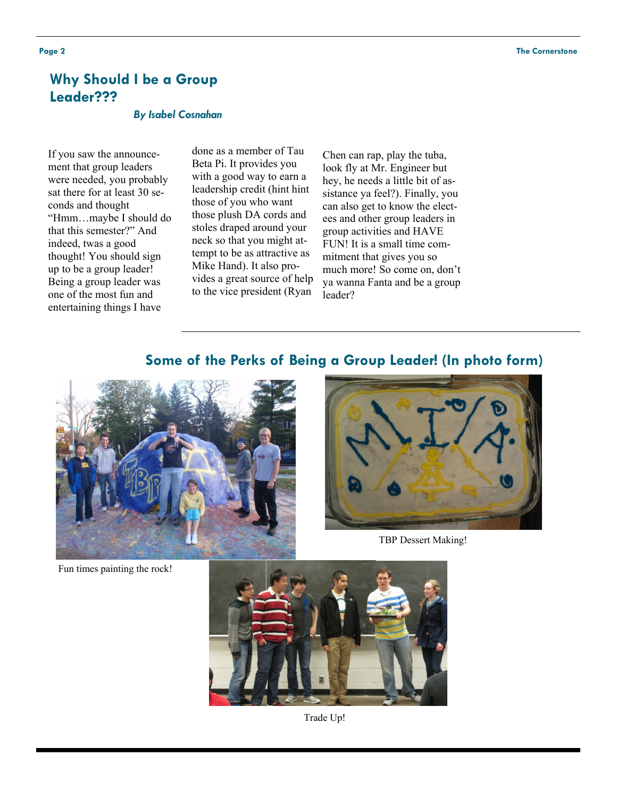# **Why Should I be a Group Leader???**

#### *By Isabel Cosnahan*

If you saw the announcement that group leaders were needed, you probably sat there for at least 30 seconds and thought "Hmm…maybe I should do that this semester?" And indeed, twas a good thought! You should sign up to be a group leader! Being a group leader was one of the most fun and entertaining things I have

done as a member of Tau Beta Pi. It provides you with a good way to earn a leadership credit (hint hint those of you who want those plush DA cords and stoles draped around your neck so that you might attempt to be as attractive as Mike Hand). It also provides a great source of help to the vice president (Ryan

Chen can rap, play the tuba, look fly at Mr. Engineer but hey, he needs a little bit of assistance ya feel?). Finally, you can also get to know the electees and other group leaders in group activities and HAVE FUN! It is a small time commitment that gives you so much more! So come on, don't ya wanna Fanta and be a group leader?

## **Some of the Perks of Being a Group Leader! (In photo form)**



Fun times painting the rock!



TBP Dessert Making!



Trade Up!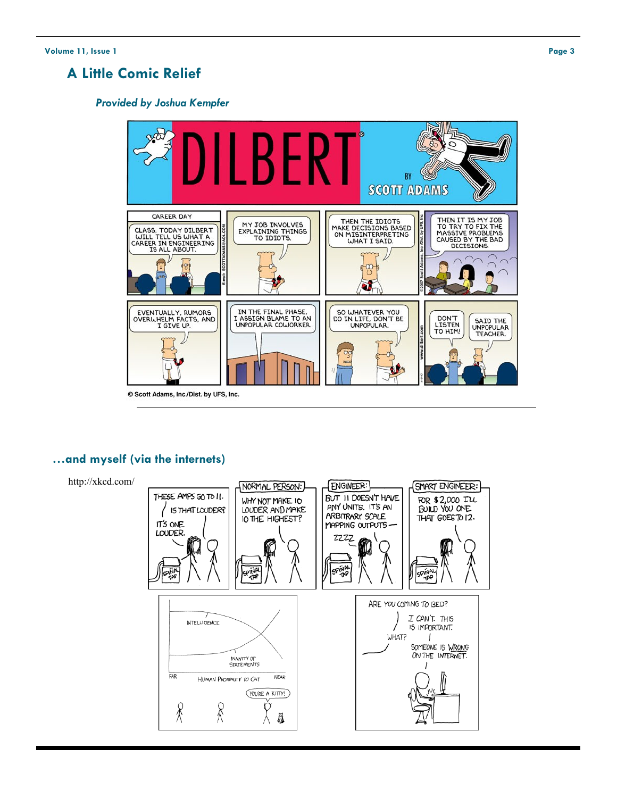# **A Little Comic Relief**

#### *Provided by Joshua Kempfer*



### **…and myself (via the internets)**